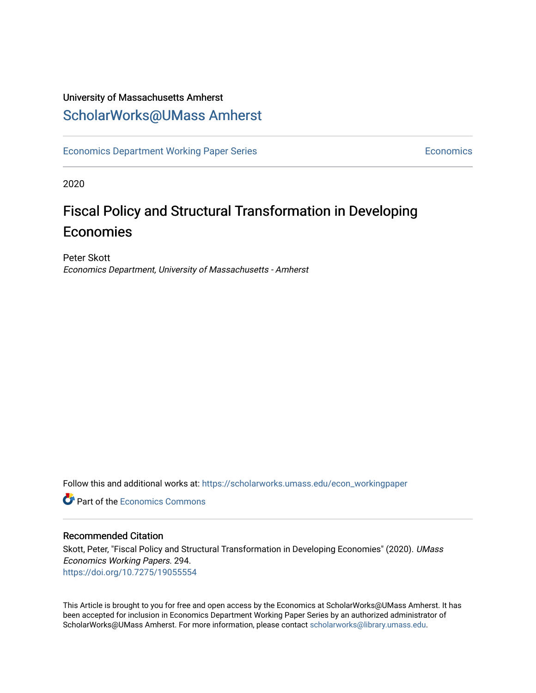# University of Massachusetts Amherst [ScholarWorks@UMass Amherst](https://scholarworks.umass.edu/)

[Economics Department Working Paper Series](https://scholarworks.umass.edu/econ_workingpaper) **Economics** Economics

2020

# Fiscal Policy and Structural Transformation in Developing Economies

Peter Skott Economics Department, University of Massachusetts - Amherst

Follow this and additional works at: [https://scholarworks.umass.edu/econ\\_workingpaper](https://scholarworks.umass.edu/econ_workingpaper?utm_source=scholarworks.umass.edu%2Fecon_workingpaper%2F294&utm_medium=PDF&utm_campaign=PDFCoverPages) 

**C** Part of the [Economics Commons](http://network.bepress.com/hgg/discipline/340?utm_source=scholarworks.umass.edu%2Fecon_workingpaper%2F294&utm_medium=PDF&utm_campaign=PDFCoverPages)

#### Recommended Citation

Skott, Peter, "Fiscal Policy and Structural Transformation in Developing Economies" (2020). UMass Economics Working Papers. 294. <https://doi.org/10.7275/19055554>

This Article is brought to you for free and open access by the Economics at ScholarWorks@UMass Amherst. It has been accepted for inclusion in Economics Department Working Paper Series by an authorized administrator of ScholarWorks@UMass Amherst. For more information, please contact [scholarworks@library.umass.edu.](mailto:scholarworks@library.umass.edu)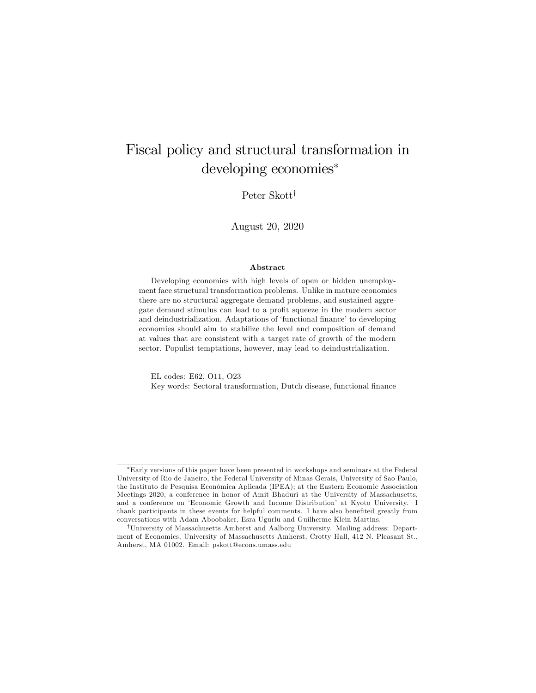# Fiscal policy and structural transformation in developing economies

Peter Skott<sup>†</sup>

August 20, 2020

#### Abstract

Developing economies with high levels of open or hidden unemployment face structural transformation problems. Unlike in mature economies there are no structural aggregate demand problems, and sustained aggregate demand stimulus can lead to a profit squeeze in the modern sector and deindustrialization. Adaptations of 'functional finance' to developing economies should aim to stabilize the level and composition of demand at values that are consistent with a target rate of growth of the modern sector. Populist temptations, however, may lead to deindustrialization.

EL codes: E62, O11, O23 Key words: Sectoral transformation, Dutch disease, functional finance

Early versions of this paper have been presented in workshops and seminars at the Federal University of Rio de Janeiro, the Federal University of Minas Gerais, University of Sao Paulo, the Instituto de Pesquisa Econômica Aplicada (IPEA); at the Eastern Economic Association Meetings 2020, a conference in honor of Amit Bhaduri at the University of Massachusetts, and a conference on 'Economic Growth and Income Distribution' at Kyoto University. I thank participants in these events for helpful comments. I have also benefited greatly from conversations with Adam Aboobaker, Esra Ugurlu and Guilherme Klein Martins.

<sup>&</sup>lt;sup>†</sup>University of Massachusetts Amherst and Aalborg University. Mailing address: Department of Economics, University of Massachusetts Amherst, Crotty Hall, 412 N. Pleasant St., Amherst, MA 01002. Email: pskott@econs.umass.edu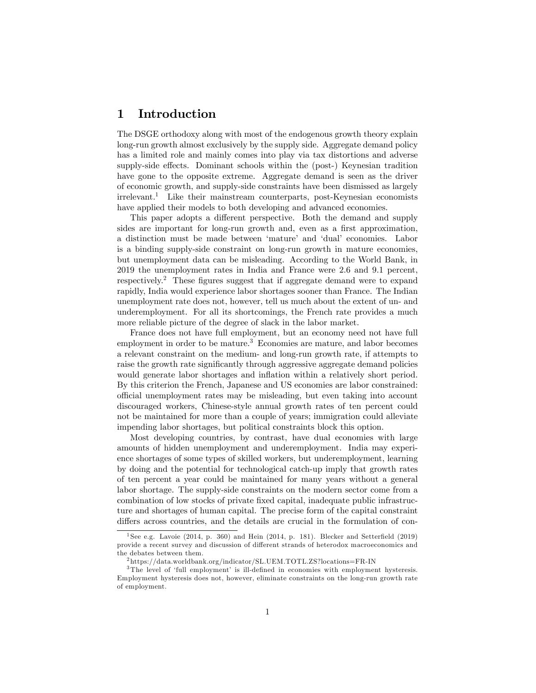#### 1 Introduction

The DSGE orthodoxy along with most of the endogenous growth theory explain long-run growth almost exclusively by the supply side. Aggregate demand policy has a limited role and mainly comes into play via tax distortions and adverse supply-side effects. Dominant schools within the (post-) Keynesian tradition have gone to the opposite extreme. Aggregate demand is seen as the driver of economic growth, and supply-side constraints have been dismissed as largely irrelevant.<sup>1</sup> Like their mainstream counterparts, post-Keynesian economists have applied their models to both developing and advanced economies.

This paper adopts a different perspective. Both the demand and supply sides are important for long-run growth and, even as a first approximation, a distinction must be made between 'mature' and 'dual' economies. Labor is a binding supply-side constraint on long-run growth in mature economies, but unemployment data can be misleading. According to the World Bank, in 2019 the unemployment rates in India and France were 2.6 and 9.1 percent, respectively.<sup>2</sup> These figures suggest that if aggregate demand were to expand rapidly, India would experience labor shortages sooner than France. The Indian unemployment rate does not, however, tell us much about the extent of un- and underemployment. For all its shortcomings, the French rate provides a much more reliable picture of the degree of slack in the labor market.

France does not have full employment, but an economy need not have full employment in order to be mature.<sup>3</sup> Economies are mature, and labor becomes a relevant constraint on the medium- and long-run growth rate, if attempts to raise the growth rate significantly through aggressive aggregate demand policies would generate labor shortages and inflation within a relatively short period. By this criterion the French, Japanese and US economies are labor constrained: o¢ cial unemployment rates may be misleading, but even taking into account discouraged workers, Chinese-style annual growth rates of ten percent could not be maintained for more than a couple of years; immigration could alleviate impending labor shortages, but political constraints block this option.

Most developing countries, by contrast, have dual economies with large amounts of hidden unemployment and underemployment. India may experience shortages of some types of skilled workers, but underemployment, learning by doing and the potential for technological catch-up imply that growth rates of ten percent a year could be maintained for many years without a general labor shortage. The supply-side constraints on the modern sector come from a combination of low stocks of private fixed capital, inadequate public infrastructure and shortages of human capital. The precise form of the capital constraint differs across countries, and the details are crucial in the formulation of con-

<sup>&</sup>lt;sup>1</sup> See e.g. Lavoie  $(2014, p. 360)$  and Hein  $(2014, p. 181)$ . Blecker and Setterfield  $(2019)$ provide a recent survey and discussion of different strands of heterodox macroeconomics and the debates between them.

<sup>2</sup> https://data.worldbank.org/indicator/SL.UEM.TOTL.ZS?locations=FR-IN

 $3$ The level of 'full employment' is ill-defined in economies with employment hysteresis. Employment hysteresis does not, however, eliminate constraints on the long-run growth rate of employment.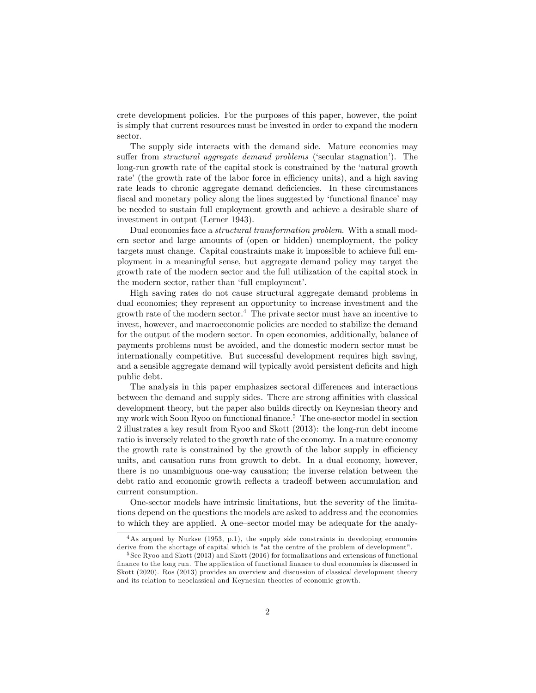crete development policies. For the purposes of this paper, however, the point is simply that current resources must be invested in order to expand the modern sector.

The supply side interacts with the demand side. Mature economies may suffer from *structural aggregate demand problems* ('secular stagnation'). The long-run growth rate of the capital stock is constrained by the 'natural growth rate' (the growth rate of the labor force in efficiency units), and a high saving rate leads to chronic aggregate demand deficiencies. In these circumstances fiscal and monetary policy along the lines suggested by 'functional finance' may be needed to sustain full employment growth and achieve a desirable share of investment in output (Lerner 1943).

Dual economies face a structural transformation problem. With a small modern sector and large amounts of (open or hidden) unemployment, the policy targets must change. Capital constraints make it impossible to achieve full employment in a meaningful sense, but aggregate demand policy may target the growth rate of the modern sector and the full utilization of the capital stock in the modern sector, rather than 'full employment'.

High saving rates do not cause structural aggregate demand problems in dual economies; they represent an opportunity to increase investment and the growth rate of the modern sector.<sup>4</sup> The private sector must have an incentive to invest, however, and macroeconomic policies are needed to stabilize the demand for the output of the modern sector. In open economies, additionally, balance of payments problems must be avoided, and the domestic modern sector must be internationally competitive. But successful development requires high saving, and a sensible aggregate demand will typically avoid persistent deficits and high public debt.

The analysis in this paper emphasizes sectoral differences and interactions between the demand and supply sides. There are strong affinities with classical development theory, but the paper also builds directly on Keynesian theory and my work with Soon Ryoo on functional finance.<sup>5</sup> The one-sector model in section 2 illustrates a key result from Ryoo and Skott (2013): the long-run debt income ratio is inversely related to the growth rate of the economy. In a mature economy the growth rate is constrained by the growth of the labor supply in efficiency units, and causation runs from growth to debt. In a dual economy, however, there is no unambiguous one-way causation; the inverse relation between the debt ratio and economic growth reflects a tradeoff between accumulation and current consumption.

One-sector models have intrinsic limitations, but the severity of the limitations depend on the questions the models are asked to address and the economies to which they are applied. A one-sector model may be adequate for the analy-

<sup>&</sup>lt;sup>4</sup>As argued by Nurkse (1953, p.1), the supply side constraints in developing economies derive from the shortage of capital which is "at the centre of the problem of development".

<sup>&</sup>lt;sup>5</sup> See Ryoo and Skott (2013) and Skott (2016) for formalizations and extensions of functional finance to the long run. The application of functional finance to dual economies is discussed in Skott (2020). Ros (2013) provides an overview and discussion of classical development theory and its relation to neoclassical and Keynesian theories of economic growth.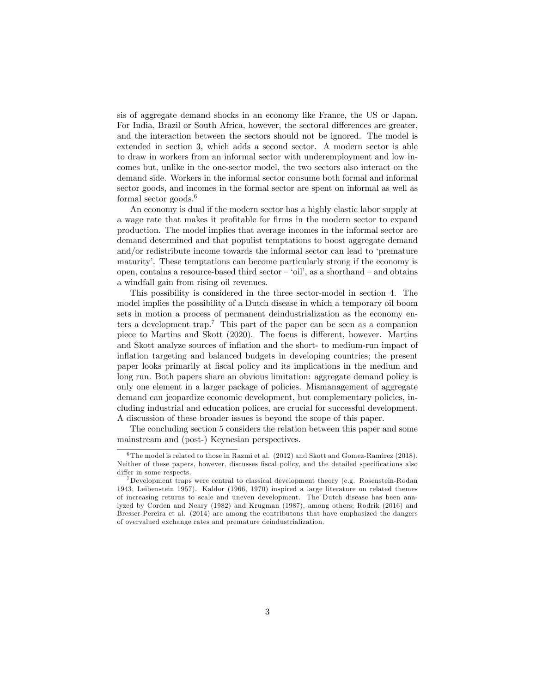sis of aggregate demand shocks in an economy like France, the US or Japan. For India, Brazil or South Africa, however, the sectoral differences are greater, and the interaction between the sectors should not be ignored. The model is extended in section 3, which adds a second sector. A modern sector is able to draw in workers from an informal sector with underemployment and low incomes but, unlike in the one-sector model, the two sectors also interact on the demand side. Workers in the informal sector consume both formal and informal sector goods, and incomes in the formal sector are spent on informal as well as formal sector goods. $6$ 

An economy is dual if the modern sector has a highly elastic labor supply at a wage rate that makes it profitable for firms in the modern sector to expand production. The model implies that average incomes in the informal sector are demand determined and that populist temptations to boost aggregate demand and/or redistribute income towards the informal sector can lead to 'premature maturity. These temptations can become particularly strong if the economy is open, contains a resource-based third sector  $\sim$  'oil', as a shorthand  $\sim$  and obtains a windfall gain from rising oil revenues.

This possibility is considered in the three sector-model in section 4. The model implies the possibility of a Dutch disease in which a temporary oil boom sets in motion a process of permanent deindustrialization as the economy enters a development trap.<sup>7</sup> This part of the paper can be seen as a companion piece to Martins and Skott  $(2020)$ . The focus is different, however. Martins and Skott analyze sources of inflation and the short- to medium-run impact of inflation targeting and balanced budgets in developing countries; the present paper looks primarily at fiscal policy and its implications in the medium and long run. Both papers share an obvious limitation: aggregate demand policy is only one element in a larger package of policies. Mismanagement of aggregate demand can jeopardize economic development, but complementary policies, including industrial and education polices, are crucial for successful development. A discussion of these broader issues is beyond the scope of this paper.

The concluding section 5 considers the relation between this paper and some mainstream and (post-) Keynesian perspectives.

 $6$  The model is related to those in Razmi et al. (2012) and Skott and Gomez-Ramirez (2018). Neither of these papers, however, discusses fiscal policy, and the detailed specifications also differ in some respects.

<sup>7</sup>Development traps were central to classical development theory (e.g. Rosenstein-Rodan 1943, Leibenstein 1957). Kaldor (1966, 1970) inspired a large literature on related themes of increasing returns to scale and uneven development. The Dutch disease has been analyzed by Corden and Neary (1982) and Krugman (1987), among others; Rodrik (2016) and Bresser-Pereira et al. (2014) are among the contributons that have emphasized the dangers of overvalued exchange rates and premature deindustrialization.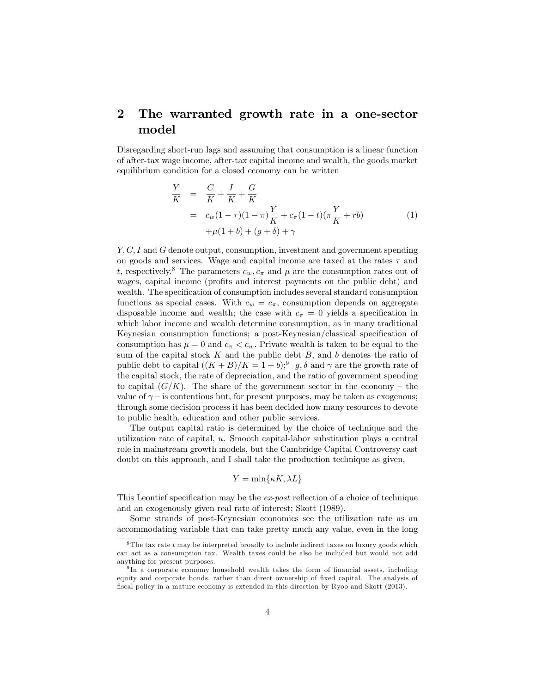### 2 The warranted growth rate in a one-sector model

Disregarding short-run lags and assuming that consumption is a linear function of after-tax wage income, after-tax capital income and wealth, the goods market equilibrium condition for a closed economy can be written

$$
\frac{Y}{K} = \frac{C}{K} + \frac{I}{K} + \frac{G}{K}
$$
\n
$$
= c_w (1 - \tau)(1 - \pi) \frac{Y}{K} + c_\pi (1 - t)(\pi \frac{Y}{K} + rb)
$$
\n
$$
+ \mu (1 + b) + (g + \delta) + \gamma
$$
\n(1)

 $Y, C, I$  and G denote output, consumption, investment and government spending on goods and services. Wage and capital income are taxed at the rates  $\tau$  and t, respectively.<sup>8</sup> The parameters  $c_w$ ,  $c_{\pi}$  and  $\mu$  are the consumption rates out of wages, capital income (profits and interest payments on the public debt) and wealth. The specification of consumption includes several standard consumption functions as special cases. With  $c_w = c_{\pi}$ , consumption depends on aggregate disposable income and wealth; the case with  $c_{\pi} = 0$  yields a specification in which labor income and wealth determine consumption, as in many traditional Keynesian consumption functions; a post-Keynesian/classical specification of consumption has  $\mu = 0$  and  $c_{\pi} < c_{w}$ . Private wealth is taken to be equal to the sum of the capital stock  $K$  and the public debt  $B$ , and  $b$  denotes the ratio of public debt to capital  $((K + B)/K = 1 + b);$ <sup>9</sup> g,  $\delta$  and  $\gamma$  are the growth rate of the capital stock, the rate of depreciation, and the ratio of government spending to capital  $(G/K)$ . The share of the government sector in the economy – the value of  $\gamma$  – is contentious but, for present purposes, may be taken as exogenous; through some decision process it has been decided how many resources to devote to public health, education and other public services.

The output capital ratio is determined by the choice of technique and the utilization rate of capital, u. Smooth capital-labor substitution plays a central role in mainstream growth models, but the Cambridge Capital Controversy cast doubt on this approach, and I shall take the production technique as given,

$$
Y = \min\{\kappa K, \lambda L\}
$$

This Leontief specification may be the  $ex\text{-}post$  reflection of a choice of technique and an exogenously given real rate of interest; Skott (1989).

Some strands of post-Keynesian economics see the utilization rate as an accommodating variable that can take pretty much any value, even in the long

 $8$ The tax rate  $t$  may be interpreted broadly to include indirect taxes on luxury goods which can act as a consumption tax. Wealth taxes could be also be included but would not add anything for present purposes.

 $9 \text{ In a corporate economy household wealth takes the form of financial assets, including}$ equity and corporate bonds, rather than direct ownership of fixed capital. The analysis of fiscal policy in a mature economy is extended in this direction by Ryoo and Skott (2013).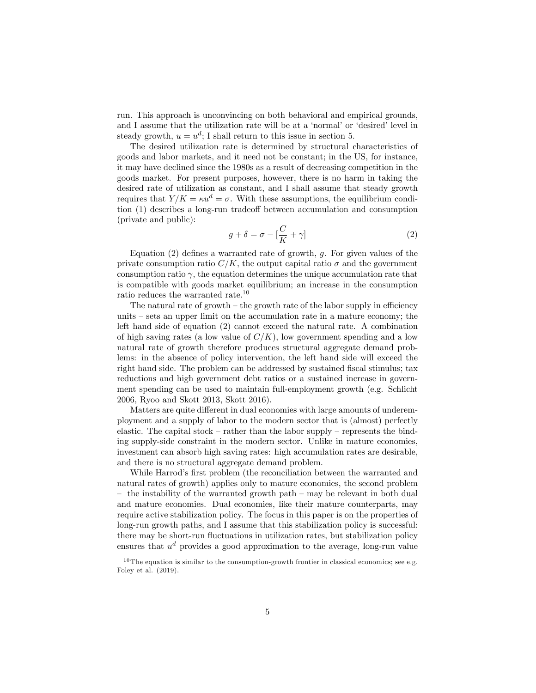run. This approach is unconvincing on both behavioral and empirical grounds, and I assume that the utilization rate will be at a 'normal' or 'desired' level in steady growth,  $u = u^d$ ; I shall return to this issue in section 5.

The desired utilization rate is determined by structural characteristics of goods and labor markets, and it need not be constant; in the US, for instance, it may have declined since the 1980s as a result of decreasing competition in the goods market. For present purposes, however, there is no harm in taking the desired rate of utilization as constant, and I shall assume that steady growth requires that  $Y/K = \kappa u^d = \sigma$ . With these assumptions, the equilibrium condition (1) describes a long-run tradeoff between accumulation and consumption (private and public):

$$
g + \delta = \sigma - \left[\frac{C}{K} + \gamma\right] \tag{2}
$$

Equation (2) defines a warranted rate of growth, g. For given values of the private consumption ratio  $C/K$ , the output capital ratio  $\sigma$  and the government consumption ratio  $\gamma$ , the equation determines the unique accumulation rate that is compatible with goods market equilibrium; an increase in the consumption ratio reduces the warranted rate.<sup>10</sup>

The natural rate of growth  $-\theta$  the growth rate of the labor supply in efficiency units  $\sim$  sets an upper limit on the accumulation rate in a mature economy; the left hand side of equation (2) cannot exceed the natural rate. A combination of high saving rates (a low value of  $C/K$ ), low government spending and a low natural rate of growth therefore produces structural aggregate demand problems: in the absence of policy intervention, the left hand side will exceed the right hand side. The problem can be addressed by sustained fiscal stimulus; tax reductions and high government debt ratios or a sustained increase in government spending can be used to maintain full-employment growth (e.g. Schlicht 2006, Ryoo and Skott 2013, Skott 2016).

Matters are quite different in dual economies with large amounts of underemployment and a supply of labor to the modern sector that is (almost) perfectly elastic. The capital stock – rather than the labor supply – represents the binding supply-side constraint in the modern sector. Unlike in mature economies, investment can absorb high saving rates: high accumulation rates are desirable, and there is no structural aggregate demand problem.

While Harrod's first problem (the reconciliation between the warranted and natural rates of growth) applies only to mature economies, the second problem  $\overline{a}$  the instability of the warranted growth path  $\overline{a}$  may be relevant in both dual and mature economies. Dual economies, like their mature counterparts, may require active stabilization policy. The focus in this paper is on the properties of long-run growth paths, and I assume that this stabilization policy is successful: there may be short-run fluctuations in utilization rates, but stabilization policy ensures that  $u^d$  provides a good approximation to the average, long-run value

 $10$  The equation is similar to the consumption-growth frontier in classical economics; see e.g. Foley et al. (2019).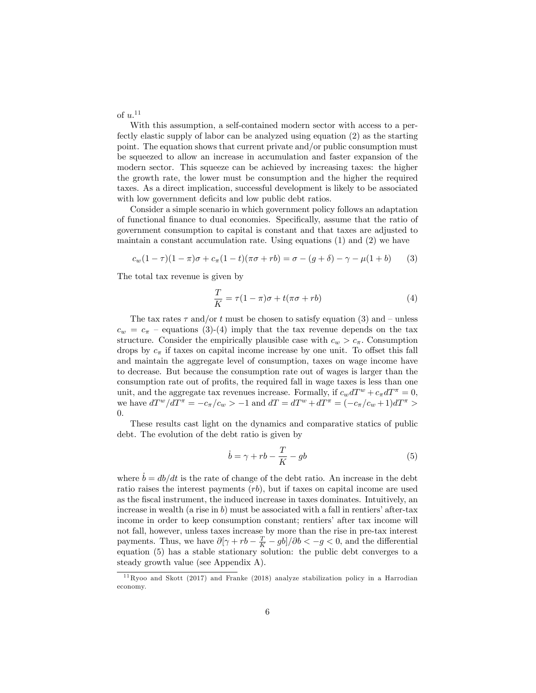of  $u$ <sup>11</sup>

With this assumption, a self-contained modern sector with access to a perfectly elastic supply of labor can be analyzed using equation (2) as the starting point. The equation shows that current private and/or public consumption must be squeezed to allow an increase in accumulation and faster expansion of the modern sector. This squeeze can be achieved by increasing taxes: the higher the growth rate, the lower must be consumption and the higher the required taxes. As a direct implication, successful development is likely to be associated with low government deficits and low public debt ratios.

Consider a simple scenario in which government policy follows an adaptation of functional Önance to dual economies. SpeciÖcally, assume that the ratio of government consumption to capital is constant and that taxes are adjusted to maintain a constant accumulation rate. Using equations (1) and (2) we have

$$
c_w(1-\tau)(1-\pi)\sigma + c_\pi(1-t)(\pi\sigma + rb) = \sigma - (g+\delta) - \gamma - \mu(1+b) \tag{3}
$$

The total tax revenue is given by

$$
\frac{T}{K} = \tau (1 - \pi)\sigma + t(\pi\sigma + rb) \tag{4}
$$

The tax rates  $\tau$  and/or t must be chosen to satisfy equation (3) and – unless  $c_w = c_{\pi}$  – equations (3)-(4) imply that the tax revenue depends on the tax structure. Consider the empirically plausible case with  $c_w > c_{\pi}$ . Consumption drops by  $c_{\pi}$  if taxes on capital income increase by one unit. To offset this fall and maintain the aggregate level of consumption, taxes on wage income have to decrease. But because the consumption rate out of wages is larger than the consumption rate out of profits, the required fall in wage taxes is less than one unit, and the aggregate tax revenues increase. Formally, if  $c_w dT^w + c_\pi dT^\pi = 0$ , we have  $dT^w/dT^{\pi} = -c_{\pi}/c_w > -1$  and  $dT = dT^w + dT^{\pi} = (-c_{\pi}/c_w + 1)dT^{\pi} >$ 0:

These results cast light on the dynamics and comparative statics of public debt. The evolution of the debt ratio is given by

$$
\dot{b} = \gamma + rb - \frac{T}{K} - gb \tag{5}
$$

where  $b = db/dt$  is the rate of change of the debt ratio. An increase in the debt ratio raises the interest payments  $(rb)$ , but if taxes on capital income are used as the Öscal instrument, the induced increase in taxes dominates. Intuitively, an increase in wealth (a rise in  $b$ ) must be associated with a fall in rentiers' after-tax income in order to keep consumption constant; rentiers' after tax income will not fall, however, unless taxes increase by more than the rise in pre-tax interest payments. Thus, we have  $\partial[\gamma + rb - \frac{T}{K} - gb]/\partial b < -g < 0$ , and the differential equation (5) has a stable stationary solution: the public debt converges to a steady growth value (see Appendix A).

 $11$ Ryoo and Skott (2017) and Franke (2018) analyze stabilization policy in a Harrodian economy.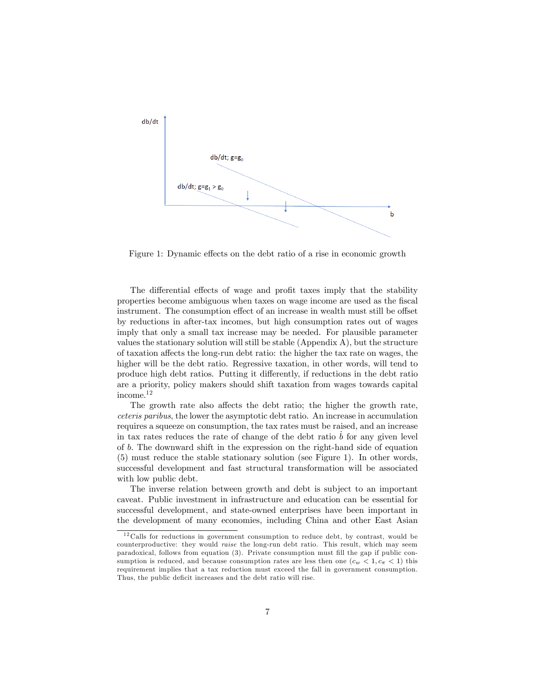

Figure 1: Dynamic effects on the debt ratio of a rise in economic growth

The differential effects of wage and profit taxes imply that the stability properties become ambiguous when taxes on wage income are used as the Öscal instrument. The consumption effect of an increase in wealth must still be offset by reductions in after-tax incomes, but high consumption rates out of wages imply that only a small tax increase may be needed. For plausible parameter values the stationary solution will still be stable (Appendix A), but the structure of taxation affects the long-run debt ratio: the higher the tax rate on wages, the higher will be the debt ratio. Regressive taxation, in other words, will tend to produce high debt ratios. Putting it differently, if reductions in the debt ratio are a priority, policy makers should shift taxation from wages towards capital income.<sup>12</sup>

The growth rate also affects the debt ratio; the higher the growth rate, ceteris paribus, the lower the asymptotic debt ratio. An increase in accumulation requires a squeeze on consumption, the tax rates must be raised, and an increase in tax rates reduces the rate of change of the debt ratio  $b$  for any given level of b: The downward shift in the expression on the right-hand side of equation (5) must reduce the stable stationary solution (see Figure 1). In other words, successful development and fast structural transformation will be associated with low public debt.

The inverse relation between growth and debt is subject to an important caveat. Public investment in infrastructure and education can be essential for successful development, and state-owned enterprises have been important in the development of many economies, including China and other East Asian

 $12$  Calls for reductions in government consumption to reduce debt, by contrast, would be counterproductive: they would raise the long-run debt ratio. This result, which may seem paradoxical, follows from equation (3). Private consumption must fill the gap if public consumption is reduced, and because consumption rates are less then one  $(c_w < 1, c<sub>\pi</sub> < 1)$  this requirement implies that a tax reduction must exceed the fall in government consumption. Thus, the public deficit increases and the debt ratio will rise.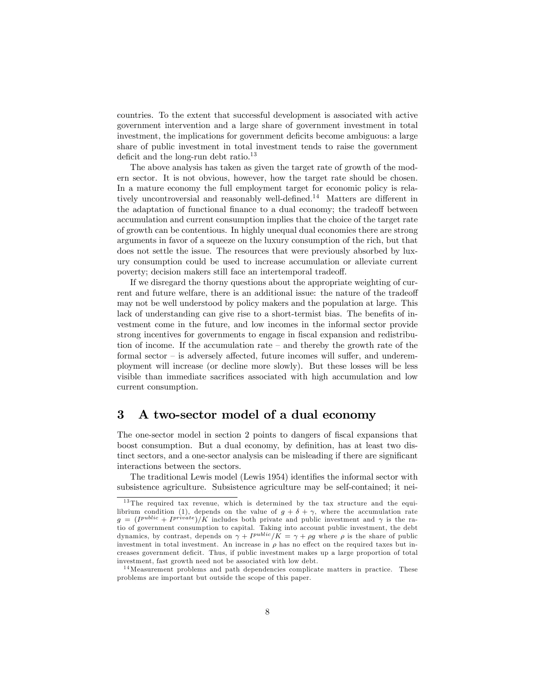countries. To the extent that successful development is associated with active government intervention and a large share of government investment in total investment, the implications for government deficits become ambiguous: a large share of public investment in total investment tends to raise the government deficit and the long-run debt ratio. $^{13}$ 

The above analysis has taken as given the target rate of growth of the modern sector. It is not obvious, however, how the target rate should be chosen. In a mature economy the full employment target for economic policy is relatively uncontroversial and reasonably well-defined.<sup>14</sup> Matters are different in the adaptation of functional finance to a dual economy; the tradeoff between accumulation and current consumption implies that the choice of the target rate of growth can be contentious. In highly unequal dual economies there are strong arguments in favor of a squeeze on the luxury consumption of the rich, but that does not settle the issue. The resources that were previously absorbed by luxury consumption could be used to increase accumulation or alleviate current poverty; decision makers still face an intertemporal tradeoff.

If we disregard the thorny questions about the appropriate weighting of current and future welfare, there is an additional issue: the nature of the tradeoff may not be well understood by policy makers and the population at large. This lack of understanding can give rise to a short-termist bias. The benefits of investment come in the future, and low incomes in the informal sector provide strong incentives for governments to engage in fiscal expansion and redistribution of income. If the accumulation rate  $-$  and thereby the growth rate of the formal sector  $-$  is adversely affected, future incomes will suffer, and underemployment will increase (or decline more slowly). But these losses will be less visible than immediate sacrifices associated with high accumulation and low current consumption.

#### 3 A two-sector model of a dual economy

The one-sector model in section 2 points to dangers of fiscal expansions that boost consumption. But a dual economy, by definition, has at least two distinct sectors, and a one-sector analysis can be misleading if there are significant interactions between the sectors.

The traditional Lewis model (Lewis 1954) identifies the informal sector with subsistence agriculture. Subsistence agriculture may be self-contained; it nei-

<sup>&</sup>lt;sup>13</sup> The required tax revenue, which is determined by the tax structure and the equilibrium condition (1), depends on the value of  $q + \delta + \gamma$ , where the accumulation rate  $g = (I^{public} + I^{private})/K$  includes both private and public investment and  $\gamma$  is the ratio of government consumption to capital. Taking into account public investment, the debt dynamics, by contrast, depends on  $\gamma + I^{public}/K = \gamma + \rho g$  where  $\rho$  is the share of public investment in total investment. An increase in  $\rho$  has no effect on the required taxes but increases government deficit. Thus, if public investment makes up a large proportion of total investment, fast growth need not be associated with low debt.

<sup>&</sup>lt;sup>14</sup>Measurement problems and path dependencies complicate matters in practice. These problems are important but outside the scope of this paper.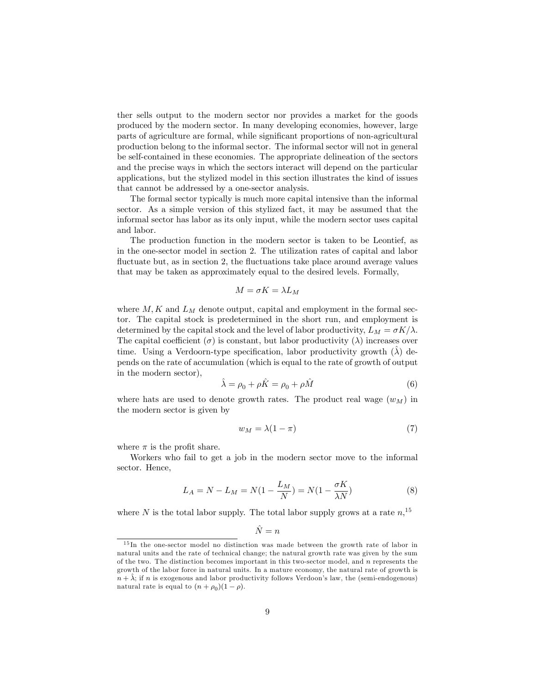ther sells output to the modern sector nor provides a market for the goods produced by the modern sector. In many developing economies, however, large parts of agriculture are formal, while significant proportions of non-agricultural production belong to the informal sector. The informal sector will not in general be self-contained in these economies. The appropriate delineation of the sectors and the precise ways in which the sectors interact will depend on the particular applications, but the stylized model in this section illustrates the kind of issues that cannot be addressed by a one-sector analysis.

The formal sector typically is much more capital intensive than the informal sector. As a simple version of this stylized fact, it may be assumed that the informal sector has labor as its only input, while the modern sector uses capital and labor.

The production function in the modern sector is taken to be Leontief, as in the one-sector model in section 2. The utilization rates of capital and labor fluctuate but, as in section 2, the fluctuations take place around average values that may be taken as approximately equal to the desired levels. Formally,

$$
M = \sigma K = \lambda L_M
$$

where  $M, K$  and  $L_M$  denote output, capital and employment in the formal sector. The capital stock is predetermined in the short run, and employment is determined by the capital stock and the level of labor productivity,  $L_M = \sigma K/\lambda$ . The capital coefficient ( $\sigma$ ) is constant, but labor productivity ( $\lambda$ ) increases over time. Using a Verdoorn-type specification, labor productivity growth  $(\lambda)$  depends on the rate of accumulation (which is equal to the rate of growth of output in the modern sector),

$$
\hat{\lambda} = \rho_0 + \rho \hat{K} = \rho_0 + \rho \hat{M} \tag{6}
$$

where hats are used to denote growth rates. The product real wage  $(w_M)$  in the modern sector is given by

$$
w_M = \lambda (1 - \pi) \tag{7}
$$

where  $\pi$  is the profit share.

Workers who fail to get a job in the modern sector move to the informal sector. Hence,

$$
L_A = N - L_M = N(1 - \frac{L_M}{N}) = N(1 - \frac{\sigma K}{\lambda N})
$$
\n(8)

where N is the total labor supply. The total labor supply grows at a rate  $n<sub>1</sub>^{15}$ 

 $\hat{N} = n$ 

 $15$  In the one-sector model no distinction was made between the growth rate of labor in natural units and the rate of technical change; the natural growth rate was given by the sum of the two. The distinction becomes important in this two-sector model, and  $n$  represents the growth of the labor force in natural units. In a mature economy, the natural rate of growth is  $n + \hat{\lambda}$ ; if n is exogenous and labor productivity follows Verdoon's law, the (semi-endogenous) natural rate is equal to  $(n + \rho_0)(1 - \rho)$ .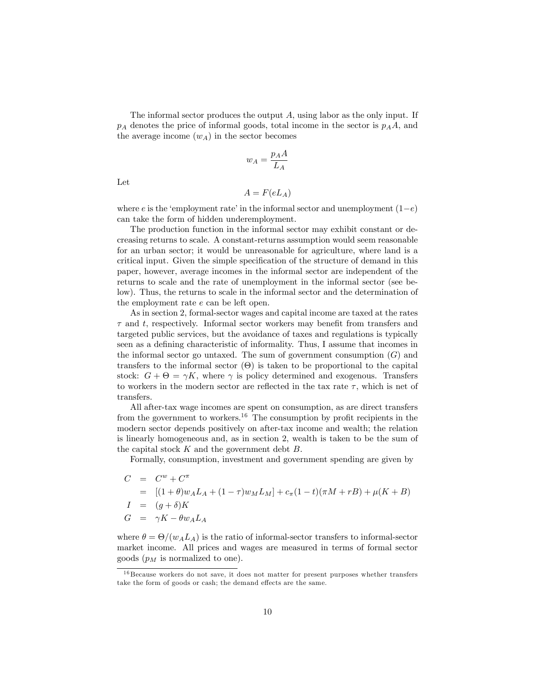The informal sector produces the output  $A$ , using labor as the only input. If  $p_A$  denotes the price of informal goods, total income in the sector is  $p_A A$ , and the average income  $(w_A)$  in the sector becomes

$$
w_A = \frac{p_A A}{L_A}
$$

Let

$$
A = F(eL_A)
$$

where e is the 'employment rate' in the informal sector and unemployment  $(1-e)$ can take the form of hidden underemployment.

The production function in the informal sector may exhibit constant or decreasing returns to scale. A constant-returns assumption would seem reasonable for an urban sector; it would be unreasonable for agriculture, where land is a critical input. Given the simple specification of the structure of demand in this paper, however, average incomes in the informal sector are independent of the returns to scale and the rate of unemployment in the informal sector (see below). Thus, the returns to scale in the informal sector and the determination of the employment rate e can be left open.

As in section 2, formal-sector wages and capital income are taxed at the rates  $\tau$  and t, respectively. Informal sector workers may benefit from transfers and targeted public services, but the avoidance of taxes and regulations is typically seen as a defining characteristic of informality. Thus, I assume that incomes in the informal sector go untaxed. The sum of government consumption  $(G)$  and transfers to the informal sector  $(\Theta)$  is taken to be proportional to the capital stock:  $G + \Theta = \gamma K$ , where  $\gamma$  is policy determined and exogenous. Transfers to workers in the modern sector are reflected in the tax rate  $\tau$ , which is net of transfers.

All after-tax wage incomes are spent on consumption, as are direct transfers from the government to workers.<sup>16</sup> The consumption by profit recipients in the modern sector depends positively on after-tax income and wealth; the relation is linearly homogeneous and, as in section 2, wealth is taken to be the sum of the capital stock  $K$  and the government debt  $B$ .

Formally, consumption, investment and government spending are given by

$$
C = Cw + C\pi
$$
  
= [(1 +  $\theta$ ) $wALA$  + (1 -  $\tau$ ) $wMLM$ ] + c<sub>\pi</sub>(1 - t)( $\pi$ M + rB) +  $\mu$ (K + B)  

$$
I = (g + \delta)K
$$
  

$$
G = \gamma K - \theta wALA
$$

where  $\theta = \Theta/(w_A L_A)$  is the ratio of informal-sector transfers to informal-sector market income. All prices and wages are measured in terms of formal sector goods  $(p_M$  is normalized to one).

<sup>&</sup>lt;sup>16</sup> Because workers do not save, it does not matter for present purposes whether transfers take the form of goods or cash; the demand effects are the same.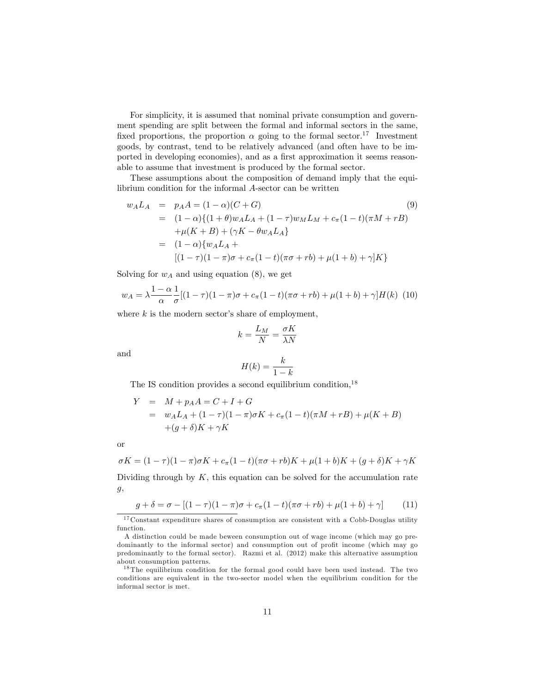For simplicity, it is assumed that nominal private consumption and government spending are split between the formal and informal sectors in the same, fixed proportions, the proportion  $\alpha$  going to the formal sector.<sup>17</sup> Investment goods, by contrast, tend to be relatively advanced (and often have to be imported in developing economies), and as a first approximation it seems reasonable to assume that investment is produced by the formal sector.

These assumptions about the composition of demand imply that the equilibrium condition for the informal A-sector can be written

$$
w_A L_A = p_A A = (1 - \alpha)(C + G)
$$
\n
$$
= (1 - \alpha)\{(1 + \theta)w_A L_A + (1 - \tau)w_M L_M + c_\pi (1 - t)(\pi M + rB) + \mu(K + B) + (\gamma K - \theta w_A L_A)\}
$$
\n
$$
= (1 - \alpha)\{w_A L_A + (1 - \tau)(1 - \pi)\sigma + c_\pi (1 - t)(\pi \sigma + r b) + \mu(1 + b) + \gamma]K\}
$$
\n(9)

Solving for  $w_A$  and using equation (8), we get

$$
w_A = \lambda \frac{1 - \alpha}{\alpha} \frac{1}{\sigma} [(1 - \tau)(1 - \pi)\sigma + c_{\pi}(1 - t)(\pi\sigma + rb) + \mu(1 + b) + \gamma]H(k)
$$
(10)

where  $k$  is the modern sector's share of employment,

$$
k = \frac{L_M}{N} = \frac{\sigma K}{\lambda N}
$$

and

$$
H(k) = \frac{k}{1-k}
$$

The IS condition provides a second equilibrium condition,<sup>18</sup>

$$
Y = M + p_A A = C + I + G
$$
  
=  $w_A L_A + (1 - \tau)(1 - \pi)\sigma K + c_{\pi}(1 - t)(\pi M + rB) + \mu(K + B)$   
+  $(g + \delta)K + \gamma K$ 

or

$$
\sigma K = (1 - \tau)(1 - \pi)\sigma K + c_{\pi}(1 - t)(\pi\sigma + rb)K + \mu(1 + b)K + (g + \delta)K + \gamma K
$$

Dividing through by  $K$ , this equation can be solved for the accumulation rate g,

$$
g + \delta = \sigma - [(1 - \tau)(1 - \pi)\sigma + c_{\pi}(1 - t)(\pi\sigma + rb) + \mu(1 + b) + \gamma]
$$
(11)

 $17$  Constant expenditure shares of consumption are consistent with a Cobb-Douglas utility function.

A distinction could be made beween consumption out of wage income (which may go predominantly to the informal sector) and consumption out of profit income (which may go predominantly to the formal sector). Razmi et al. (2012) make this alternative assumption about consumption patterns.

<sup>&</sup>lt;sup>18</sup> The equilibrium condition for the formal good could have been used instead. The two conditions are equivalent in the two-sector model when the equilibrium condition for the informal sector is met.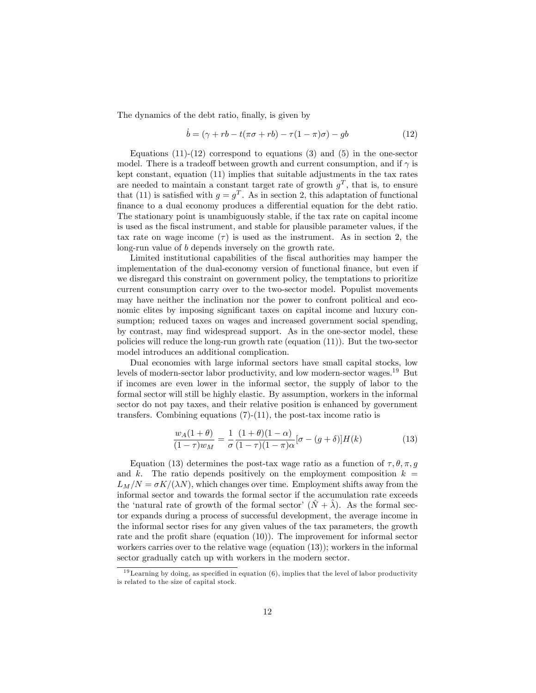The dynamics of the debt ratio, finally, is given by

$$
\dot{b} = (\gamma + rb - t(\pi\sigma + rb) - \tau(1 - \pi)\sigma) - gb \tag{12}
$$

Equations  $(11)-(12)$  correspond to equations  $(3)$  and  $(5)$  in the one-sector model. There is a tradeoff between growth and current consumption, and if  $\gamma$  is kept constant, equation (11) implies that suitable adjustments in the tax rates are needed to maintain a constant target rate of growth  $g<sup>T</sup>$ , that is, to ensure that (11) is satisfied with  $g = g<sup>T</sup>$ . As in section 2, this adaptation of functional finance to a dual economy produces a differential equation for the debt ratio. The stationary point is unambiguously stable, if the tax rate on capital income is used as the fiscal instrument, and stable for plausible parameter values, if the tax rate on wage income  $(\tau)$  is used as the instrument. As in section 2, the long-run value of b depends inversely on the growth rate.

Limited institutional capabilities of the fiscal authorities may hamper the implementation of the dual-economy version of functional finance, but even if we disregard this constraint on government policy, the temptations to prioritize current consumption carry over to the two-sector model. Populist movements may have neither the inclination nor the power to confront political and economic elites by imposing significant taxes on capital income and luxury consumption; reduced taxes on wages and increased government social spending, by contrast, may find widespread support. As in the one-sector model, these policies will reduce the long-run growth rate (equation (11)). But the two-sector model introduces an additional complication.

Dual economies with large informal sectors have small capital stocks, low levels of modern-sector labor productivity, and low modern-sector wages.<sup>19</sup> But if incomes are even lower in the informal sector, the supply of labor to the formal sector will still be highly elastic. By assumption, workers in the informal sector do not pay taxes, and their relative position is enhanced by government transfers. Combining equations  $(7)-(11)$ , the post-tax income ratio is

$$
\frac{w_A(1+\theta)}{(1-\tau)w_M} = \frac{1}{\sigma} \frac{(1+\theta)(1-\alpha)}{(1-\tau)(1-\pi)\alpha} [\sigma - (g+\delta)]H(k)
$$
(13)

Equation (13) determines the post-tax wage ratio as a function of  $\tau, \theta, \pi, g$ and k. The ratio depends positively on the employment composition  $k =$  $L_M/N = \sigma K/(\lambda N)$ , which changes over time. Employment shifts away from the informal sector and towards the formal sector if the accumulation rate exceeds the 'natural rate of growth of the formal sector'  $(\hat{N} + \hat{\lambda})$ . As the formal sector expands during a process of successful development, the average income in the informal sector rises for any given values of the tax parameters, the growth rate and the profit share (equation  $(10)$ ). The improvement for informal sector workers carries over to the relative wage (equation (13)); workers in the informal sector gradually catch up with workers in the modern sector.

 $19$  Learning by doing, as specified in equation (6), implies that the level of labor productivity is related to the size of capital stock.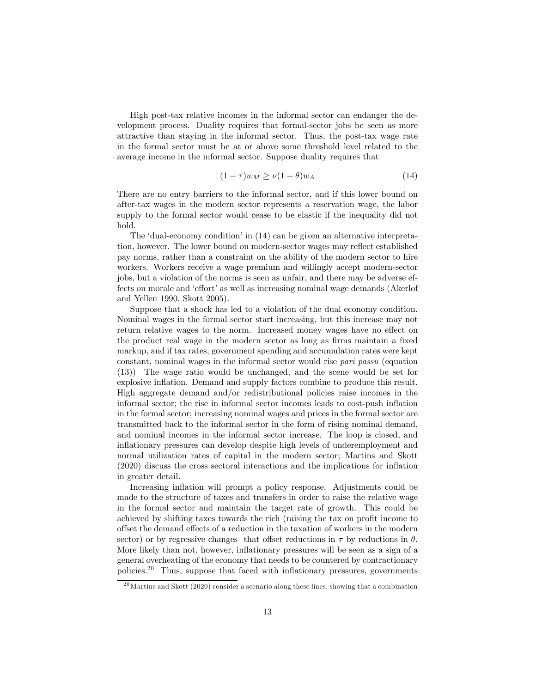High post-tax relative incomes in the informal sector can endanger the development process. Duality requires that formal-sector jobs be seen as more attractive than staying in the informal sector. Thus, the post-tax wage rate in the formal sector must be at or above some threshold level related to the average income in the informal sector. Suppose duality requires that

$$
(1 - \tau)w_M \ge \nu(1 + \theta)w_A \tag{14}
$$

There are no entry barriers to the informal sector, and if this lower bound on after-tax wages in the modern sector represents a reservation wage, the labor supply to the formal sector would cease to be elastic if the inequality did not hold.

The 'dual-economy condition' in (14) can be given an alternative interpretation, however. The lower bound on modern-sector wages may reflect established pay norms, rather than a constraint on the ability of the modern sector to hire workers. Workers receive a wage premium and willingly accept modern-sector jobs, but a violation of the norms is seen as unfair, and there may be adverse effects on morale and 'effort' as well as increasing nominal wage demands (Akerlof and Yellen 1990, Skott 2005).

Suppose that a shock has led to a violation of the dual economy condition. Nominal wages in the formal sector start increasing, but this increase may not return relative wages to the norm. Increased money wages have no effect on the product real wage in the modern sector as long as firms maintain a fixed markup, and if tax rates, government spending and accumulation rates were kept constant, nominal wages in the informal sector would rise pari passu (equation (13)) The wage ratio would be unchanged, and the scene would be set for explosive ináation. Demand and supply factors combine to produce this result. High aggregate demand and/or redistributional policies raise incomes in the informal sector; the rise in informal sector incomes leads to cost-push inflation in the formal sector; increasing nominal wages and prices in the formal sector are transmitted back to the informal sector in the form of rising nominal demand, and nominal incomes in the informal sector increase. The loop is closed, and inflationary pressures can develop despite high levels of underemployment and normal utilization rates of capital in the modern sector; Martins and Skott (2020) discuss the cross sectoral interactions and the implications for ináation in greater detail.

Increasing inflation will prompt a policy response. Adjustments could be made to the structure of taxes and transfers in order to raise the relative wage in the formal sector and maintain the target rate of growth. This could be achieved by shifting taxes towards the rich (raising the tax on profit income to offset the demand effects of a reduction in the taxation of workers in the modern sector) or by regressive changes that offset reductions in  $\tau$  by reductions in  $\theta$ . More likely than not, however, inflationary pressures will be seen as a sign of a general overheating of the economy that needs to be countered by contractionary policies.<sup>20</sup> Thus, suppose that faced with inflationary pressures, governments

 $20$  Martins and Skott (2020) consider a scenario along these lines, showing that a combination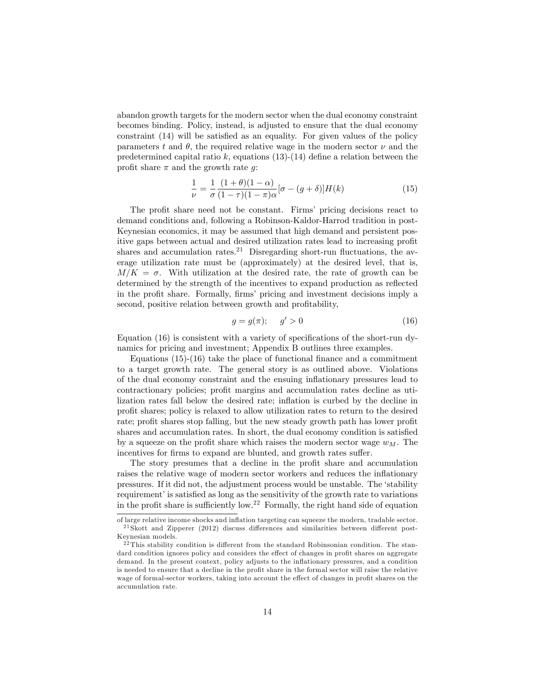abandon growth targets for the modern sector when the dual economy constraint becomes binding. Policy, instead, is adjusted to ensure that the dual economy constraint  $(14)$  will be satisfied as an equality. For given values of the policy parameters t and  $\theta$ , the required relative wage in the modern sector  $\nu$  and the predetermined capital ratio k, equations  $(13)-(14)$  define a relation between the profit share  $\pi$  and the growth rate g:

$$
\frac{1}{\nu} = \frac{1}{\sigma} \frac{(1+\theta)(1-\alpha)}{(1-\tau)(1-\pi)\alpha} [\sigma - (g+\delta)]H(k)
$$
\n(15)

The profit share need not be constant. Firms' pricing decisions react to demand conditions and, following a Robinson-Kaldor-Harrod tradition in post-Keynesian economics, it may be assumed that high demand and persistent positive gaps between actual and desired utilization rates lead to increasing profit shares and accumulation rates.<sup>21</sup> Disregarding short-run fluctuations, the average utilization rate must be (approximately) at the desired level, that is,  $M/K = \sigma$ . With utilization at the desired rate, the rate of growth can be determined by the strength of the incentives to expand production as reflected in the profit share. Formally, firms' pricing and investment decisions imply a second, positive relation between growth and profitability,

$$
g = g(\pi); \qquad g' > 0 \tag{16}
$$

Equation  $(16)$  is consistent with a variety of specifications of the short-run dynamics for pricing and investment; Appendix B outlines three examples.

Equations  $(15)-(16)$  take the place of functional finance and a commitment to a target growth rate. The general story is as outlined above. Violations of the dual economy constraint and the ensuing inflationary pressures lead to contractionary policies; profit margins and accumulation rates decline as utilization rates fall below the desired rate; inflation is curbed by the decline in proÖt shares; policy is relaxed to allow utilization rates to return to the desired rate; profit shares stop falling, but the new steady growth path has lower profit shares and accumulation rates. In short, the dual economy condition is satisfied by a squeeze on the profit share which raises the modern sector wage  $w_M$ . The incentives for firms to expand are blunted, and growth rates suffer.

The story presumes that a decline in the profit share and accumulation raises the relative wage of modern sector workers and reduces the inflationary pressures. If it did not, the adjustment process would be unstable. The ëstability requirement' is satisfied as long as the sensitivity of the growth rate to variations in the profit share is sufficiently low.<sup>22</sup> Formally, the right hand side of equation

of large relative income shocks and ináation targeting can squeeze the modern, tradable sector.  $^{21}$ Skott and Zipperer (2012) discuss differences and similarities between different post-Keynesian models.

 $^{22}$  This stability condition is different from the standard Robinsonian condition. The standard condition ignores policy and considers the effect of changes in profit shares on aggregate demand. In the present context, policy adjusts to the inflationary pressures, and a condition is needed to ensure that a decline in the profit share in the formal sector will raise the relative wage of formal-sector workers, taking into account the effect of changes in profit shares on the accumulation rate.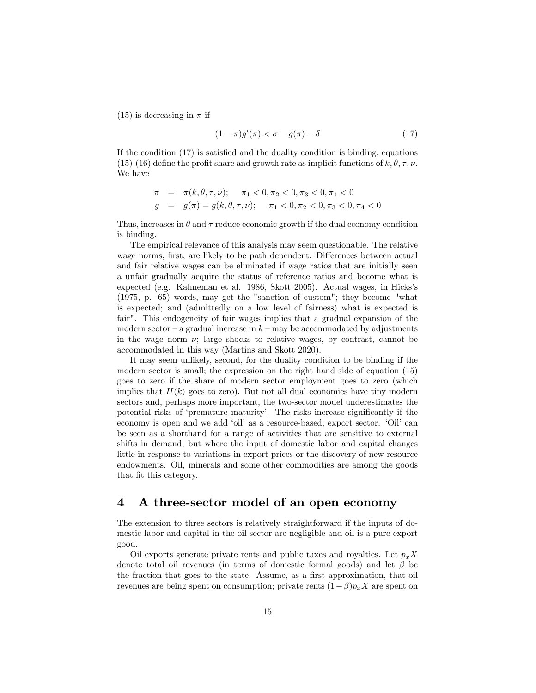$(15)$  is decreasing in  $\pi$  if

$$
(1 - \pi)g'(\pi) < \sigma - g(\pi) - \delta \tag{17}
$$

If the condition  $(17)$  is satisfied and the duality condition is binding, equations (15)-(16) define the profit share and growth rate as implicit functions of  $k, \theta, \tau, \nu$ . We have

$$
\pi = \pi(k, \theta, \tau, \nu); \quad \pi_1 < 0, \pi_2 < 0, \pi_3 < 0, \pi_4 < 0
$$
\n
$$
g = g(\pi) = g(k, \theta, \tau, \nu); \quad \pi_1 < 0, \pi_2 < 0, \pi_3 < 0, \pi_4 < 0
$$

Thus, increases in  $\theta$  and  $\tau$  reduce economic growth if the dual economy condition is binding.

The empirical relevance of this analysis may seem questionable. The relative wage norms, first, are likely to be path dependent. Differences between actual and fair relative wages can be eliminated if wage ratios that are initially seen a unfair gradually acquire the status of reference ratios and become what is expected (e.g. Kahneman et al. 1986, Skott 2005). Actual wages, in Hicks's (1975, p. 65) words, may get the "sanction of custom"; they become "what is expected; and (admittedly on a low level of fairness) what is expected is fair". This endogeneity of fair wages implies that a gradual expansion of the modern sector  $-\alpha$  gradual increase in  $k -$  may be accommodated by adjustments in the wage norm  $\nu$ ; large shocks to relative wages, by contrast, cannot be accommodated in this way (Martins and Skott 2020).

It may seem unlikely, second, for the duality condition to be binding if the modern sector is small; the expression on the right hand side of equation (15) goes to zero if the share of modern sector employment goes to zero (which implies that  $H(k)$  goes to zero). But not all dual economies have tiny modern sectors and, perhaps more important, the two-sector model underestimates the potential risks of 'premature maturity'. The risks increase significantly if the economy is open and we add 'oil' as a resource-based, export sector. 'Oil' can be seen as a shorthand for a range of activities that are sensitive to external shifts in demand, but where the input of domestic labor and capital changes little in response to variations in export prices or the discovery of new resource endowments. Oil, minerals and some other commodities are among the goods that fit this category.

#### 4 A three-sector model of an open economy

The extension to three sectors is relatively straightforward if the inputs of domestic labor and capital in the oil sector are negligible and oil is a pure export good.

Oil exports generate private rents and public taxes and royalties. Let  $p_x X$ denote total oil revenues (in terms of domestic formal goods) and let  $\beta$  be the fraction that goes to the state. Assume, as a first approximation, that oil revenues are being spent on consumption; private rents  $(1-\beta)p_xX$  are spent on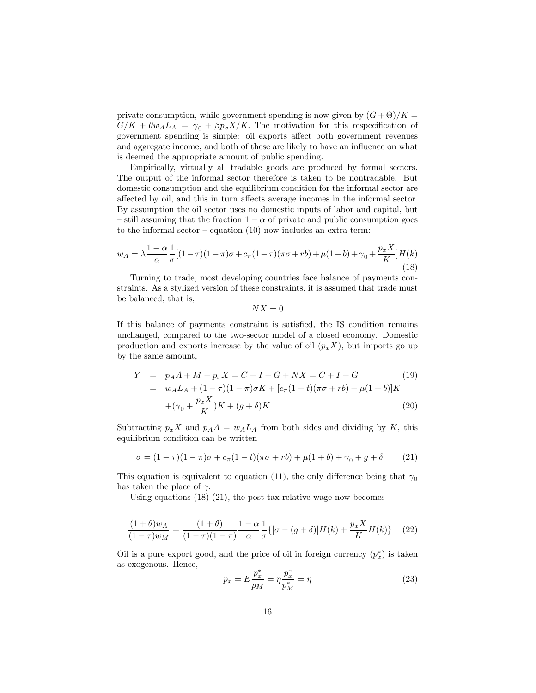private consumption, while government spending is now given by  $(G + \Theta)/K =$  $G/K + \theta w_A L_A = \gamma_0 + \beta p_x X/K$ . The motivation for this respecification of government spending is simple: oil exports affect both government revenues and aggregate income, and both of these are likely to have an influence on what is deemed the appropriate amount of public spending.

Empirically, virtually all tradable goods are produced by formal sectors. The output of the informal sector therefore is taken to be nontradable. But domestic consumption and the equilibrium condition for the informal sector are affected by oil, and this in turn affects average incomes in the informal sector. By assumption the oil sector uses no domestic inputs of labor and capital, but  $\sim$  still assuming that the fraction  $1 - \alpha$  of private and public consumption goes to the informal sector  $-\text{equation}$  (10) now includes an extra term:

$$
w_A = \lambda \frac{1 - \alpha}{\alpha} \frac{1}{\sigma} [(1 - \tau)(1 - \pi)\sigma + c_{\pi}(1 - \tau)(\pi\sigma + rb) + \mu(1 + b) + \gamma_0 + \frac{p_x X}{K}]H(k)
$$
\n(18)

Turning to trade, most developing countries face balance of payments constraints. As a stylized version of these constraints, it is assumed that trade must be balanced, that is,

$$
NX=0
$$

If this balance of payments constraint is satisfied, the IS condition remains unchanged, compared to the two-sector model of a closed economy. Domestic production and exports increase by the value of oil  $(p_x X)$ , but imports go up by the same amount,

$$
Y = p_A A + M + p_x X = C + I + G + N X = C + I + G
$$
(19)  

$$
= w_A L_A + (1 - \tau)(1 - \pi)\sigma K + [c_{\pi}(1 - t)(\pi\sigma + rb) + \mu(1 + b)]K
$$

$$
+ (\gamma_0 + \frac{p_x X}{K})K + (g + \delta)K
$$
(20)

Subtracting  $p_x X$  and  $p_A A = w_A L_A$  from both sides and dividing by K, this equilibrium condition can be written

$$
\sigma = (1 - \tau)(1 - \pi)\sigma + c_{\pi}(1 - t)(\pi\sigma + rb) + \mu(1 + b) + \gamma_0 + g + \delta \tag{21}
$$

This equation is equivalent to equation (11), the only difference being that  $\gamma_0$ has taken the place of  $\gamma$ .

Using equations  $(18)-(21)$ , the post-tax relative wage now becomes

$$
\frac{(1+\theta)w_A}{(1-\tau)w_M} = \frac{(1+\theta)}{(1-\tau)(1-\pi)} \frac{1-\alpha}{\alpha} \frac{1}{\sigma} \{ [\sigma - (g+\delta)]H(k) + \frac{p_x X}{K}H(k) \} \tag{22}
$$

Oil is a pure export good, and the price of oil in foreign currency  $(p_x^*)$  is taken as exogenous. Hence,

$$
p_x = E \frac{p_x^*}{p_M} = \eta \frac{p_x^*}{p_M^*} = \eta
$$
\n(23)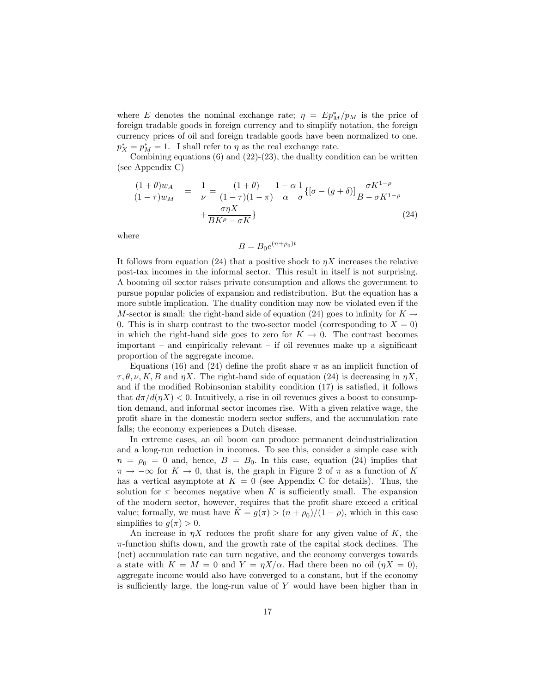where E denotes the nominal exchange rate;  $\eta = E p_M^*/p_M$  is the price of foreign tradable goods in foreign currency and to simplify notation, the foreign currency prices of oil and foreign tradable goods have been normalized to one.  $p_X^* = p_M^* = 1$ . I shall refer to  $\eta$  as the real exchange rate.

Combining equations  $(6)$  and  $(22)-(23)$ , the duality condition can be written (see Appendix C)

$$
\frac{(1+\theta)w_A}{(1-\tau)w_M} = \frac{1}{\nu} = \frac{(1+\theta)}{(1-\tau)(1-\pi)} \frac{1-\alpha}{\alpha} \frac{1}{\sigma} \{ [\sigma - (g+\delta)] \frac{\sigma K^{1-\rho}}{B - \sigma K^{1-\rho}} + \frac{\sigma \eta X}{B K^{\rho} - \sigma K} \}
$$
\n(24)

where

$$
B = B_0 e^{(n+\rho_0)t}
$$

It follows from equation (24) that a positive shock to  $\eta X$  increases the relative post-tax incomes in the informal sector. This result in itself is not surprising. A booming oil sector raises private consumption and allows the government to pursue popular policies of expansion and redistribution. But the equation has a more subtle implication. The duality condition may now be violated even if the M-sector is small: the right-hand side of equation (24) goes to infinity for  $K \rightarrow$ 0. This is in sharp contrast to the two-sector model (corresponding to  $X = 0$ ) in which the right-hand side goes to zero for  $K \to 0$ . The contrast becomes important  $\overline{\phantom{a}}$  and empirically relevant  $\overline{\phantom{a}}$  if oil revenues make up a significant proportion of the aggregate income.

Equations (16) and (24) define the profit share  $\pi$  as an implicit function of  $\tau, \theta, \nu, K, B$  and  $\eta X$ . The right-hand side of equation (24) is decreasing in  $\eta X$ , and if the modified Robinsonian stability condition  $(17)$  is satisfied, it follows that  $d\pi/d(\eta X) < 0$ . Intuitively, a rise in oil revenues gives a boost to consumption demand, and informal sector incomes rise. With a given relative wage, the profit share in the domestic modern sector suffers, and the accumulation rate falls; the economy experiences a Dutch disease.

In extreme cases, an oil boom can produce permanent deindustrialization and a long-run reduction in incomes. To see this, consider a simple case with  $n = \rho_0 = 0$  and, hence,  $B = B_0$ . In this case, equation (24) implies that  $\pi \to -\infty$  for  $K \to 0$ , that is, the graph in Figure 2 of  $\pi$  as a function of K has a vertical asymptote at  $K = 0$  (see Appendix C for details). Thus, the solution for  $\pi$  becomes negative when K is sufficiently small. The expansion of the modern sector, however, requires that the profit share exceed a critical value; formally, we must have  $\hat{K} = g(\pi) > (n + \rho_0)/(1 - \rho)$ , which in this case simplifies to  $q(\pi) > 0$ .

An increase in  $\eta X$  reduces the profit share for any given value of K, the  $\pi$ -function shifts down, and the growth rate of the capital stock declines. The (net) accumulation rate can turn negative, and the economy converges towards a state with  $K = M = 0$  and  $Y = \eta X/\alpha$ . Had there been no oil  $(\eta X = 0)$ , aggregate income would also have converged to a constant, but if the economy is sufficiently large, the long-run value of  $Y$  would have been higher than in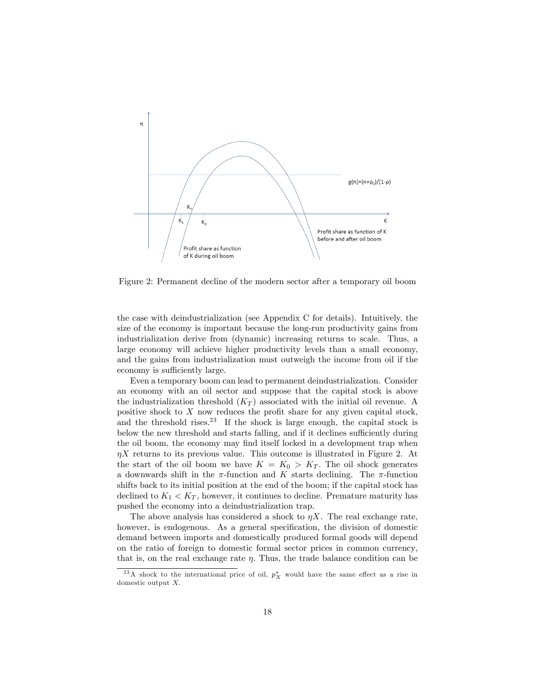

Figure 2: Permanent decline of the modern sector after a temporary oil boom

the case with deindustrialization (see Appendix C for details). Intuitively, the size of the economy is important because the long-run productivity gains from industrialization derive from (dynamic) increasing returns to scale. Thus, a large economy will achieve higher productivity levels than a small economy, and the gains from industrialization must outweigh the income from oil if the economy is sufficiently large.

Even a temporary boom can lead to permanent deindustrialization. Consider an economy with an oil sector and suppose that the capital stock is above the industrialization threshold  $(K_T)$  associated with the initial oil revenue. A positive shock to  $X$  now reduces the profit share for any given capital stock, and the threshold rises.<sup>23</sup> If the shock is large enough, the capital stock is below the new threshold and starts falling, and if it declines sufficiently during the oil boom, the economy may find itself locked in a development trap when  $\eta X$  returns to its previous value. This outcome is illustrated in Figure 2. At the start of the oil boom we have  $K = K_0 > K_T$ . The oil shock generates a downwards shift in the  $\pi$ -function and K starts declining. The  $\pi$ -function shifts back to its initial position at the end of the boom; if the capital stock has declined to  $K_1 < K_T$ , however, it continues to decline. Premature maturity has pushed the economy into a deindustrialization trap.

The above analysis has considered a shock to  $\eta X$ . The real exchange rate, however, is endogenous. As a general specification, the division of domestic demand between imports and domestically produced formal goods will depend on the ratio of foreign to domestic formal sector prices in common currency; that is, on the real exchange rate  $\eta$ . Thus, the trade balance condition can be

<sup>&</sup>lt;sup>23</sup>A shock to the international price of oil,  $p_X^*$  would have the same effect as a rise in domestic output  $X$ .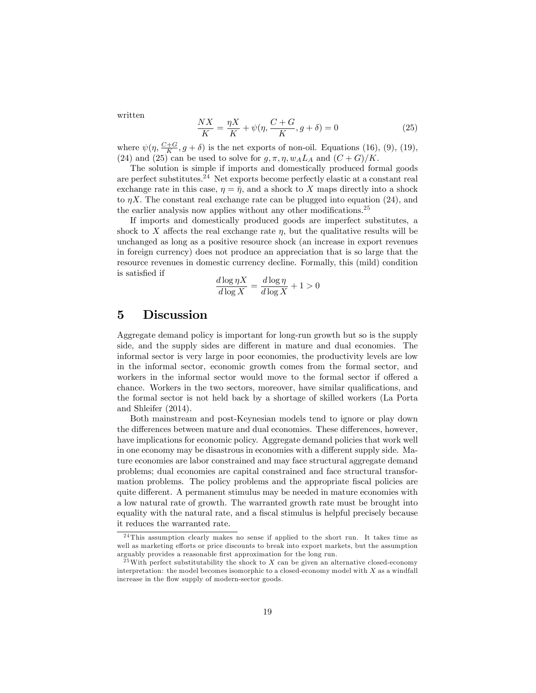written

$$
\frac{NX}{K} = \frac{\eta X}{K} + \psi(\eta, \frac{C+G}{K}, g+\delta) = 0
$$
\n(25)

where  $\psi(\eta, \frac{C+G}{K}, g+\delta)$  is the net exports of non-oil. Equations (16), (9), (19), (24) and (25) can be used to solve for  $g, \pi, \eta, w_A L_A$  and  $(C+G)/K$ .

The solution is simple if imports and domestically produced formal goods are perfect substitutes.<sup>24</sup> Net exports become perfectly elastic at a constant real exchange rate in this case,  $\eta = \overline{\eta}$ , and a shock to X maps directly into a shock to  $\eta X$ . The constant real exchange rate can be plugged into equation (24), and the earlier analysis now applies without any other modifications.<sup>25</sup>

If imports and domestically produced goods are imperfect substitutes, a shock to X affects the real exchange rate  $\eta$ , but the qualitative results will be unchanged as long as a positive resource shock (an increase in export revenues in foreign currency) does not produce an appreciation that is so large that the resource revenues in domestic currency decline. Formally, this (mild) condition is satisfied if

$$
\frac{d \log \eta X}{d \log X} = \frac{d \log \eta}{d \log X} + 1 > 0
$$

#### 5 Discussion

Aggregate demand policy is important for long-run growth but so is the supply side, and the supply sides are different in mature and dual economies. The informal sector is very large in poor economies, the productivity levels are low in the informal sector, economic growth comes from the formal sector, and workers in the informal sector would move to the formal sector if offered a chance. Workers in the two sectors, moreover, have similar qualifications, and the formal sector is not held back by a shortage of skilled workers (La Porta and Shleifer (2014).

Both mainstream and post-Keynesian models tend to ignore or play down the differences between mature and dual economies. These differences, however, have implications for economic policy. Aggregate demand policies that work well in one economy may be disastrous in economies with a different supply side. Mature economies are labor constrained and may face structural aggregate demand problems; dual economies are capital constrained and face structural transformation problems. The policy problems and the appropriate fiscal policies are quite different. A permanent stimulus may be needed in mature economies with a low natural rate of growth. The warranted growth rate must be brought into equality with the natural rate, and a fiscal stimulus is helpful precisely because it reduces the warranted rate.

<sup>&</sup>lt;sup>24</sup> This assumption clearly makes no sense if applied to the short run. It takes time as well as marketing efforts or price discounts to break into export markets, but the assumption arguably provides a reasonable first approximation for the long run.

 $25$  With perfect substitutability the shock to X can be given an alternative closed-economy interpretation: the model becomes isomorphic to a closed-economy model with  $X$  as a windfall increase in the flow supply of modern-sector goods.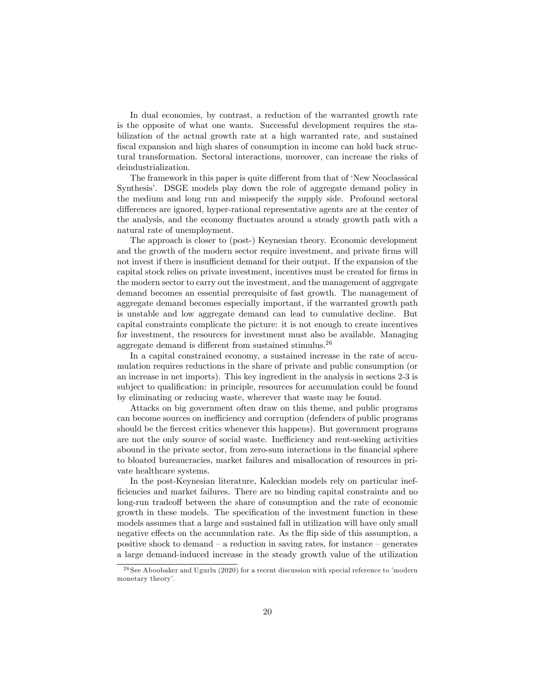In dual economies, by contrast, a reduction of the warranted growth rate is the opposite of what one wants. Successful development requires the stabilization of the actual growth rate at a high warranted rate, and sustained fiscal expansion and high shares of consumption in income can hold back structural transformation. Sectoral interactions, moreover, can increase the risks of deindustrialization.

The framework in this paper is quite different from that of 'New Neoclassical Synthesis<sup>'</sup>. DSGE models play down the role of aggregate demand policy in the medium and long run and misspecify the supply side. Profound sectoral differences are ignored, hyper-rational representative agents are at the center of the analysis, and the economy fluctuates around a steady growth path with a natural rate of unemployment.

The approach is closer to (post-) Keynesian theory. Economic development and the growth of the modern sector require investment, and private firms will not invest if there is insufficient demand for their output. If the expansion of the capital stock relies on private investment, incentives must be created for firms in the modern sector to carry out the investment, and the management of aggregate demand becomes an essential prerequisite of fast growth. The management of aggregate demand becomes especially important, if the warranted growth path is unstable and low aggregate demand can lead to cumulative decline. But capital constraints complicate the picture: it is not enough to create incentives for investment, the resources for investment must also be available. Managing aggregate demand is different from sustained stimulus. $26$ 

In a capital constrained economy, a sustained increase in the rate of accumulation requires reductions in the share of private and public consumption (or an increase in net imports). This key ingredient in the analysis in sections 2-3 is subject to qualification: in principle, resources for accumulation could be found by eliminating or reducing waste, wherever that waste may be found.

Attacks on big government often draw on this theme, and public programs can become sources on inefficiency and corruption (defenders of public programs should be the fiercest critics whenever this happens). But government programs are not the only source of social waste. Inefficiency and rent-seeking activities abound in the private sector, from zero-sum interactions in the Önancial sphere to bloated bureaucracies, market failures and misallocation of resources in private healthcare systems.

In the post-Keynesian literature, Kaleckian models rely on particular inef-Öciencies and market failures. There are no binding capital constraints and no long-run tradeoff between the share of consumption and the rate of economic growth in these models. The specification of the investment function in these models assumes that a large and sustained fall in utilization will have only small negative effects on the accumulation rate. As the flip side of this assumption, a positive shock to demand  $-$  a reduction in saving rates, for instance  $-$  generates a large demand-induced increase in the steady growth value of the utilization

 $26$  See Aboobaker and Ugurlu (2020) for a recent discussion with special reference to 'modern monetary theory'.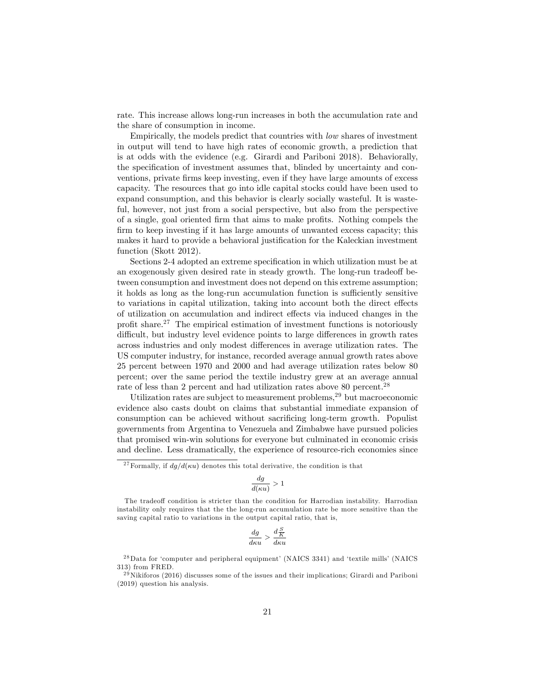rate. This increase allows long-run increases in both the accumulation rate and the share of consumption in income.

Empirically, the models predict that countries with low shares of investment in output will tend to have high rates of economic growth, a prediction that is at odds with the evidence (e.g. Girardi and Pariboni 2018). Behaviorally, the specification of investment assumes that, blinded by uncertainty and conventions, private Örms keep investing, even if they have large amounts of excess capacity. The resources that go into idle capital stocks could have been used to expand consumption, and this behavior is clearly socially wasteful. It is wasteful, however, not just from a social perspective, but also from the perspective of a single, goal oriented firm that aims to make profits. Nothing compels the firm to keep investing if it has large amounts of unwanted excess capacity; this makes it hard to provide a behavioral justification for the Kaleckian investment function (Skott 2012).

Sections 2-4 adopted an extreme specification in which utilization must be at an exogenously given desired rate in steady growth. The long-run tradeoff between consumption and investment does not depend on this extreme assumption; it holds as long as the long-run accumulation function is sufficiently sensitive to variations in capital utilization, taking into account both the direct effects of utilization on accumulation and indirect effects via induced changes in the profit share.<sup>27</sup> The empirical estimation of investment functions is notoriously difficult, but industry level evidence points to large differences in growth rates across industries and only modest differences in average utilization rates. The US computer industry, for instance, recorded average annual growth rates above 25 percent between 1970 and 2000 and had average utilization rates below 80 percent; over the same period the textile industry grew at an average annual rate of less than 2 percent and had utilization rates above 80 percent.<sup>28</sup>

Utilization rates are subject to measurement problems,<sup>29</sup> but macroeconomic evidence also casts doubt on claims that substantial immediate expansion of consumption can be achieved without sacrificing long-term growth. Populist governments from Argentina to Venezuela and Zimbabwe have pursued policies that promised win-win solutions for everyone but culminated in economic crisis and decline. Less dramatically, the experience of resource-rich economies since

$$
\frac{dg}{d(\kappa u)}>1
$$

$$
\frac{dg}{d\kappa u} > \frac{d\frac{S}{K}}{d\kappa u}
$$

 $^{28}$ Data for 'computer and peripheral equipment' (NAICS 3341) and 'textile mills' (NAICS 313) from FRED.

 $^{29}$ Nikiforos (2016) discusses some of the issues and their implications; Girardi and Pariboni (2019) question his analysis.

<sup>&</sup>lt;sup>27</sup>Formally, if  $dg/d(\kappa u)$  denotes this total derivative, the condition is that

The tradeoff condition is stricter than the condition for Harrodian instability. Harrodian instability only requires that the the long-run accumulation rate be more sensitive than the saving capital ratio to variations in the output capital ratio, that is,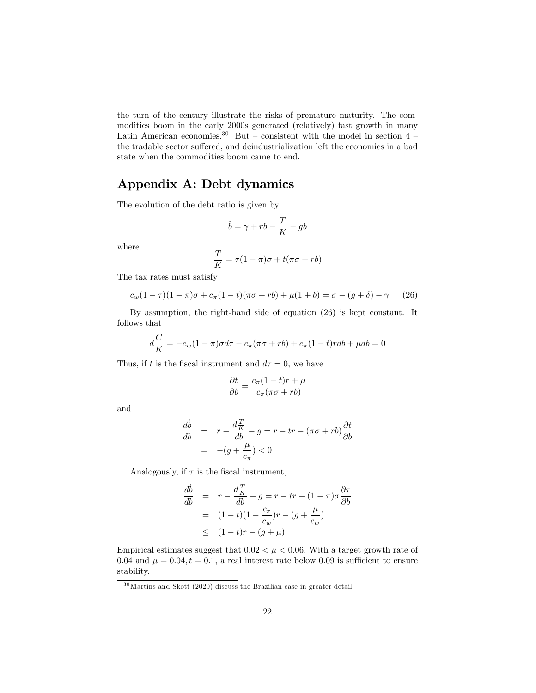the turn of the century illustrate the risks of premature maturity. The commodities boom in the early 2000s generated (relatively) fast growth in many Latin American economies.<sup>30</sup> But – consistent with the model in section 4 – the tradable sector suffered, and deindustrialization left the economies in a bad state when the commodities boom came to end.

### Appendix A: Debt dynamics

The evolution of the debt ratio is given by

$$
\dot{b}=\gamma+rb-\frac{T}{K}-gb
$$

where

$$
\frac{T}{K} = \tau (1 - \pi) \sigma + t(\pi \sigma + rb)
$$

The tax rates must satisfy

$$
c_w(1-\tau)(1-\pi)\sigma + c_\pi(1-t)(\pi\sigma + rb) + \mu(1+b) = \sigma - (g+\delta) - \gamma \tag{26}
$$

By assumption, the right-hand side of equation (26) is kept constant. It follows that

$$
d\frac{C}{K} = -c_w(1-\pi)\sigma d\tau - c_\pi(\pi\sigma + rb) + c_\pi(1-t)rdb + \mu db = 0
$$

Thus, if t is the fiscal instrument and  $d\tau = 0$ , we have

$$
\frac{\partial t}{\partial b} = \frac{c_{\pi}(1-t)r + \mu}{c_{\pi}(\pi \sigma + rb)}
$$

and

$$
\frac{d\dot{b}}{db} = r - \frac{d\frac{T}{K}}{db} - g = r - tr - (\pi\sigma + rb)\frac{\partial t}{\partial b}
$$

$$
= -(g + \frac{\mu}{c_{\pi}}) < 0
$$

Analogously, if  $\tau$  is the fiscal instrument,

$$
\frac{d\dot{b}}{db} = r - \frac{d\frac{T}{K}}{db} - g = r - tr - (1 - \pi)\sigma \frac{\partial \tau}{\partial b}
$$

$$
= (1 - t)(1 - \frac{c_{\pi}}{c_w})r - (g + \frac{\mu}{c_w})
$$

$$
\leq (1 - t)r - (g + \mu)
$$

Empirical estimates suggest that  $0.02 < \mu < 0.06$ . With a target growth rate of 0.04 and  $\mu = 0.04, t = 0.1$ , a real interest rate below 0.09 is sufficient to ensure stability.

 $30$  Martins and Skott (2020) discuss the Brazilian case in greater detail.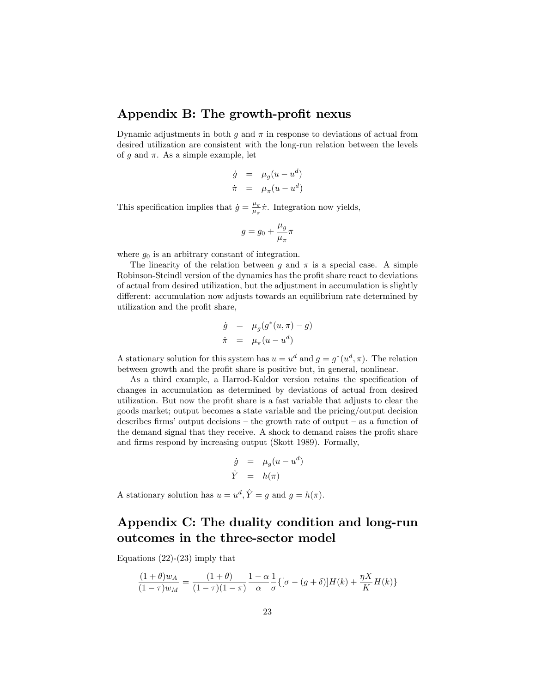#### Appendix B: The growth-profit nexus

Dynamic adjustments in both g and  $\pi$  in response to deviations of actual from desired utilization are consistent with the long-run relation between the levels of g and  $\pi$ . As a simple example, let

$$
\dot{g} = \mu_g (u - u^d)
$$
  

$$
\dot{\pi} = \mu_\pi (u - u^d)
$$

This specification implies that  $\dot{g} = \frac{\mu_g}{\mu}$  $\frac{\mu_g}{\mu_{\pi}}\dot{\pi}$ . Integration now yields,

$$
g=g_0+\frac{\mu_g}{\mu_\pi}\pi
$$

where  $g_0$  is an arbitrary constant of integration.

The linearity of the relation between g and  $\pi$  is a special case. A simple Robinson-Steindl version of the dynamics has the profit share react to deviations of actual from desired utilization, but the adjustment in accumulation is slightly different: accumulation now adjusts towards an equilibrium rate determined by utilization and the profit share,

$$
\dot{g} = \mu_g(g^*(u, \pi) - g)
$$
  

$$
\dot{\pi} = \mu_\pi(u - u^d)
$$

A stationary solution for this system has  $u = u^d$  and  $g = g^*(u^d, \pi)$ . The relation between growth and the profit share is positive but, in general, nonlinear.

As a third example, a Harrod-Kaldor version retains the specification of changes in accumulation as determined by deviations of actual from desired utilization. But now the profit share is a fast variable that adjusts to clear the goods market; output becomes a state variable and the pricing/output decision describes firms' output decisions  $-$  the growth rate of output  $-$  as a function of the demand signal that they receive. A shock to demand raises the profit share and firms respond by increasing output (Skott 1989). Formally,

$$
\dot{g} = \mu_g (u - u^d) \n\hat{Y} = h(\pi)
$$

A stationary solution has  $u = u^d$ ,  $\hat{Y} = g$  and  $g = h(\pi)$ .

## Appendix C: The duality condition and long-run outcomes in the three-sector model

Equations  $(22)-(23)$  imply that

$$
\frac{(1+\theta)w_A}{(1-\tau)w_M} = \frac{(1+\theta)}{(1-\tau)(1-\pi)} \frac{1-\alpha}{\alpha} \frac{1}{\sigma} \{ [\sigma - (g+\delta)]H(k) + \frac{\eta X}{K}H(k) \}
$$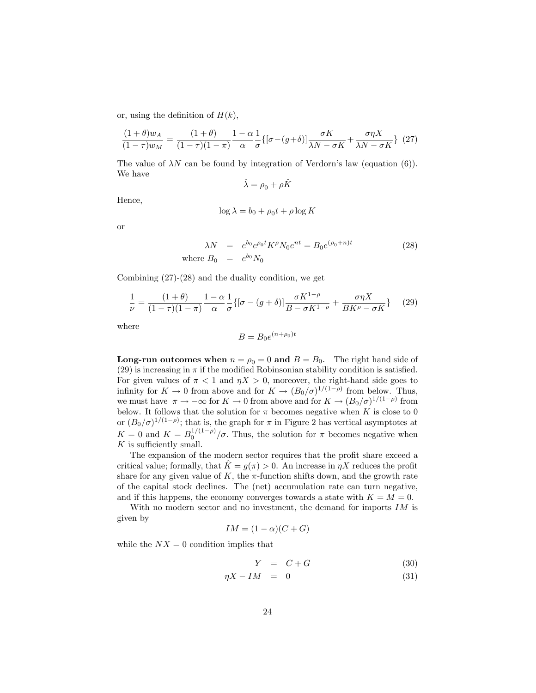or, using the definition of  $H(k)$ ,

$$
\frac{(1+\theta)w_A}{(1-\tau)w_M} = \frac{(1+\theta)}{(1-\tau)(1-\pi)} \frac{1-\alpha}{\alpha} \frac{1}{\sigma} \{ [\sigma - (g+\delta)] \frac{\sigma K}{\lambda N - \sigma K} + \frac{\sigma \eta X}{\lambda N - \sigma K} \} (27)
$$

The value of  $\lambda N$  can be found by integration of Verdorn's law (equation (6)). We have

 $\hat{\lambda} = \rho_0 + \rho \hat{K}$ 

Hence,

$$
\log \lambda = b_0 + \rho_0 t + \rho \log K
$$

or

$$
\lambda N = e^{b_0} e^{\rho_0 t} K^{\rho} N_0 e^{nt} = B_0 e^{(\rho_0 + n)t}
$$
\nwhere  $B_0 = e^{b_0} N_0$ 

\n(28)

Combining (27)-(28) and the duality condition, we get

$$
\frac{1}{\nu} = \frac{(1+\theta)}{(1-\tau)(1-\pi)} \frac{1-\alpha}{\alpha} \frac{1}{\sigma} \{ [\sigma - (g+\delta)] \frac{\sigma K^{1-\rho}}{B - \sigma K^{1-\rho}} + \frac{\sigma \eta X}{B K^{\rho} - \sigma K} \} \tag{29}
$$

where

$$
B = B_0 e^{(n+\rho_0)t}
$$

**Long-run outcomes when**  $n = \rho_0 = 0$  and  $B = B_0$ . The right hand side of (29) is increasing in  $\pi$  if the modified Robinsonian stability condition is satisfied. For given values of  $\pi < 1$  and  $\eta X > 0$ , moreover, the right-hand side goes to infinity for  $K \to 0$  from above and for  $K \to (B_0/\sigma)^{1/(1-\rho)}$  from below. Thus, we must have  $\pi \to -\infty$  for  $K \to 0$  from above and for  $K \to (B_0/\sigma)^{1/(1-\rho)}$  from below. It follows that the solution for  $\pi$  becomes negative when K is close to 0 or  $(B_0/\sigma)^{1/(1-\rho)}$ ; that is, the graph for  $\pi$  in Figure 2 has vertical asymptotes at  $K = 0$  and  $K = B_0^{1/(1-\rho)}/\sigma$ . Thus, the solution for  $\pi$  becomes negative when  $K$  is sufficiently small.

The expansion of the modern sector requires that the profit share exceed a critical value; formally, that  $\ddot{K} = g(\pi) > 0$ . An increase in  $\eta X$  reduces the profit share for any given value of K, the  $\pi$ -function shifts down, and the growth rate of the capital stock declines. The (net) accumulation rate can turn negative, and if this happens, the economy converges towards a state with  $K = M = 0$ .

With no modern sector and no investment, the demand for imports  $IM$  is given by

$$
IM = (1 - \alpha)(C + G)
$$

while the  $NX = 0$  condition implies that

$$
Y = C + G \tag{30}
$$

$$
\eta X - IM = 0 \tag{31}
$$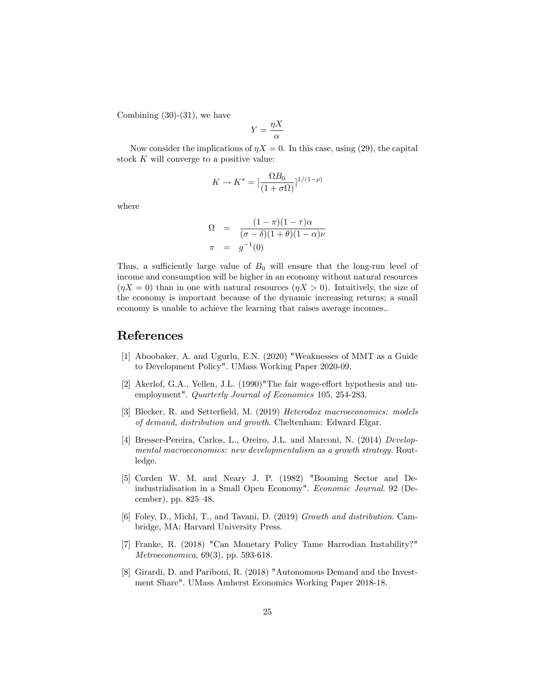Combining  $(30)-(31)$ , we have

$$
Y=\frac{\eta X}{\alpha}
$$

Now consider the implications of  $\eta X = 0$ . In this case, using (29), the capital stock  $K$  will converge to a positive value:

$$
K \to K^* = \left[\frac{\Omega B_0}{(1 + \sigma \Omega)}\right]^{1/(1-\rho)}
$$

where

$$
\Omega = \frac{(1-\pi)(1-\tau)\alpha}{(\sigma-\delta)(1+\theta)(1-\alpha)\nu}
$$
  

$$
\pi = g^{-1}(0)
$$

Thus, a sufficiently large value of  $B_0$  will ensure that the long-run level of income and consumption will be higher in an economy without natural resources  $(\eta X = 0)$  than in one with natural resources  $(\eta X > 0)$ . Intuitively, the size of the economy is important because of the dynamic increasing returns; a small economy is unable to achieve the learning that raises average incomes..

#### References

- [1] Aboobaker, A. and Ugurlu, E.N. (2020) "Weaknesses of MMT as a Guide to Development Policy". UMass Working Paper 2020-09.
- [2] Akerlof, G.A., Yellen, J.L. (1990)"The fair wage-effort hypothesis and unemployment". Quarterly Journal of Economics 105, 254-283.
- [3] Blecker, R. and Setterfield, M. (2019) Heterodox macroeconomics: models of demand, distribution and growth. Cheltenham: Edward Elgar.
- [4] Bresser-Pereira, Carlos, L., Oreiro, J.L. and Marconi, N. (2014) Developmental macroeconomics: new developmentalism as a growth strategy. Routledge.
- [5] Corden W. M. and Neary J. P. (1982) "Booming Sector and Deindustrialisation in a Small Open Economy". Economic Journal. 92 (December), pp. 825–48.
- [6] Foley, D., Michl, T., and Tavani, D. (2019) Growth and distribution. Cambridge, MA: Harvard University Press.
- [7] Franke, R. (2018) "Can Monetary Policy Tame Harrodian Instability?" Metroeconomica, 69(3), pp. 593-618.
- [8] Girardi, D. and Pariboni, R. (2018) "Autonomous Demand and the Investment Share". UMass Amherst Economics Working Paper 2018-18.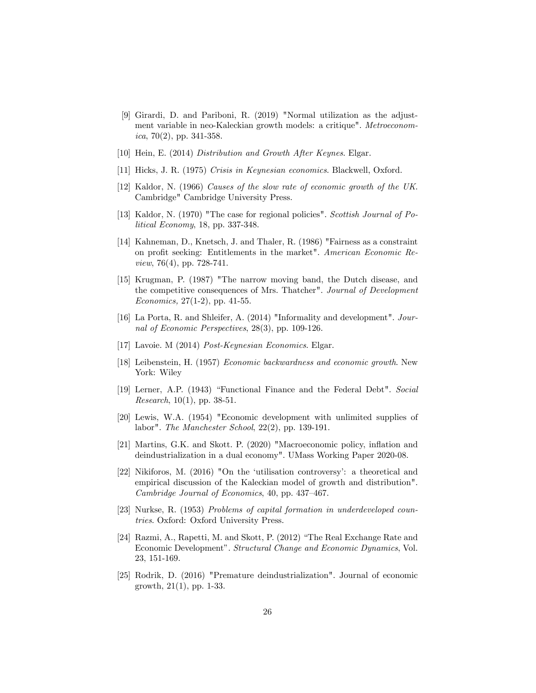- [9] Girardi, D. and Pariboni, R. (2019) "Normal utilization as the adjustment variable in neo-Kaleckian growth models: a critique". Metroeconomica, 70(2), pp. 341-358.
- [10] Hein, E. (2014) Distribution and Growth After Keynes. Elgar.
- [11] Hicks, J. R. (1975) Crisis in Keynesian economics. Blackwell, Oxford.
- [12] Kaldor, N. (1966) Causes of the slow rate of economic growth of the UK. Cambridge" Cambridge University Press.
- [13] Kaldor, N. (1970) "The case for regional policies". Scottish Journal of Political Economy, 18, pp. 337-348.
- [14] Kahneman, D., Knetsch, J. and Thaler, R. (1986) "Fairness as a constraint on profit seeking: Entitlements in the market". American Economic Re*view*, 76(4), pp. 728-741.
- [15] Krugman, P. (1987) "The narrow moving band, the Dutch disease, and the competitive consequences of Mrs. Thatcher". Journal of Development Economics, 27(1-2), pp. 41-55.
- [16] La Porta, R. and Shleifer, A. (2014) "Informality and development". Journal of Economic Perspectives, 28(3), pp. 109-126.
- [17] Lavoie. M (2014) Post-Keynesian Economics. Elgar.
- [18] Leibenstein, H. (1957) Economic backwardness and economic growth. New York: Wiley
- [19] Lerner, A.P. (1943) "Functional Finance and the Federal Debt". Social Research,  $10(1)$ , pp. 38-51.
- [20] Lewis, W.A. (1954) "Economic development with unlimited supplies of labor". The Manchester School, 22(2), pp. 139-191.
- [21] Martins, G.K. and Skott. P. (2020) "Macroeconomic policy, ináation and deindustrialization in a dual economy". UMass Working Paper 2020-08.
- [22] Nikiforos, M. (2016) "On the 'utilisation controversy': a theoretical and empirical discussion of the Kaleckian model of growth and distribution". Cambridge Journal of Economics, 40, pp.  $437-467$ .
- [23] Nurkse, R. (1953) Problems of capital formation in underdeveloped countries. Oxford: Oxford University Press.
- [24] Razmi, A., Rapetti, M. and Skott, P.  $(2012)$  "The Real Exchange Rate and Economic Development". Structural Change and Economic Dynamics, Vol. 23, 151-169.
- [25] Rodrik, D. (2016) "Premature deindustrialization". Journal of economic growth, 21(1), pp. 1-33.